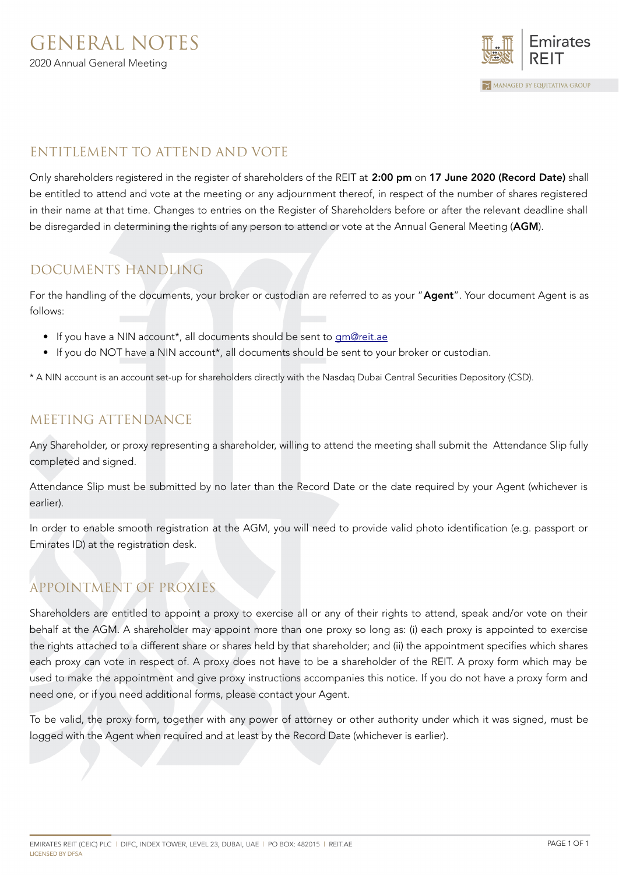

### ENTITLEMENT TO ATTEND AND VOTE

Only shareholders registered in the register of shareholders of the REIT at 2:00 pm on 17 June 2020 (Record Date) shall be entitled to attend and vote at the meeting or any adjournment thereof, in respect of the number of shares registered in their name at that time. Changes to entries on the Register of Shareholders before or after the relevant deadline shall be disregarded in determining the rights of any person to attend or vote at the Annual General Meeting (AGM).

### DOCUMENTS HANDLING

For the handling of the documents, your broker or custodian are referred to as your "Agent". Your document Agent is as follows:

- If you have a NIN account\*, all documents should be sent to [gm@reit.ae](mailto:gm@reit.ae)
- If you do NOT have a NIN account\*, all documents should be sent to your broker or custodian.

\* A NIN account is an account set-up for shareholders directly with the Nasdaq Dubai Central Securities Depository (CSD).

### MEETING ATTENDANCE

Any Shareholder, or proxy representing a shareholder, willing to attend the meeting shall submit the Attendance Slip fully completed and signed.

Attendance Slip must be submitted by no later than the Record Date or the date required by your Agent (whichever is earlier).

In order to enable smooth registration at the AGM, you will need to provide valid photo identification (e.g. passport or Emirates ID) at the registration desk.

# APPOINTMENT OF PROXIES

Shareholders are entitled to appoint a proxy to exercise all or any of their rights to attend, speak and/or vote on their behalf at the AGM. A shareholder may appoint more than one proxy so long as: (i) each proxy is appointed to exercise the rights attached to a different share or shares held by that shareholder; and (ii) the appointment specifies which shares each proxy can vote in respect of. A proxy does not have to be a shareholder of the REIT. A proxy form which may be used to make the appointment and give proxy instructions accompanies this notice. If you do not have a proxy form and need one, or if you need additional forms, please contact your Agent.

To be valid, the proxy form, together with any power of attorney or other authority under which it was signed, must be logged with the Agent when required and at least by the Record Date (whichever is earlier).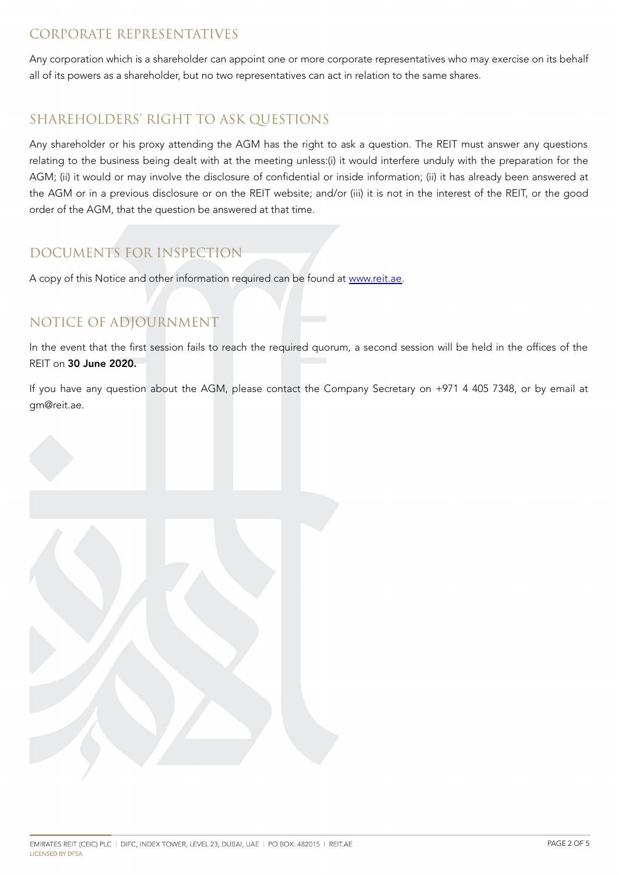#### CORPORATE REPRESENTATIVES

Any corporation which is a shareholder can appoint one or more corporate representatives who may exercise on its behalf all of its powers as a shareholder, but no two representatives can act in relation to the same shares.

### SHAREHOLDERS' RIGHT TO ASK QUESTIONS

Any shareholder or his proxy attending the AGM has the right to ask a question. The REIT must answer any questions relating to the business being dealt with at the meeting unless:(i) it would interfere unduly with the preparation for the AGM; (ii) it would or may involve the disclosure of confidential or inside information; (ii) it has already been answered at the AGM or in a previous disclosure or on the REIT website; and/or (iii) it is not in the interest of the REIT, or the good order of the AGM, that the question be answered at that time.

### DOCUMENTS FOR INSPECTION

A copy of this Notice and other information required can be found at [www.reit.ae.](http://www.reit.ae/)

## NOTICE OF ADJOURNMENT

In the event that the first session fails to reach the required quorum, a second session will be held in the offices of the REIT on 30 June 2020.

If you have any question about the AGM, please contact the Company Secretary on +971 4 405 7348, or by email at gm@reit.ae.

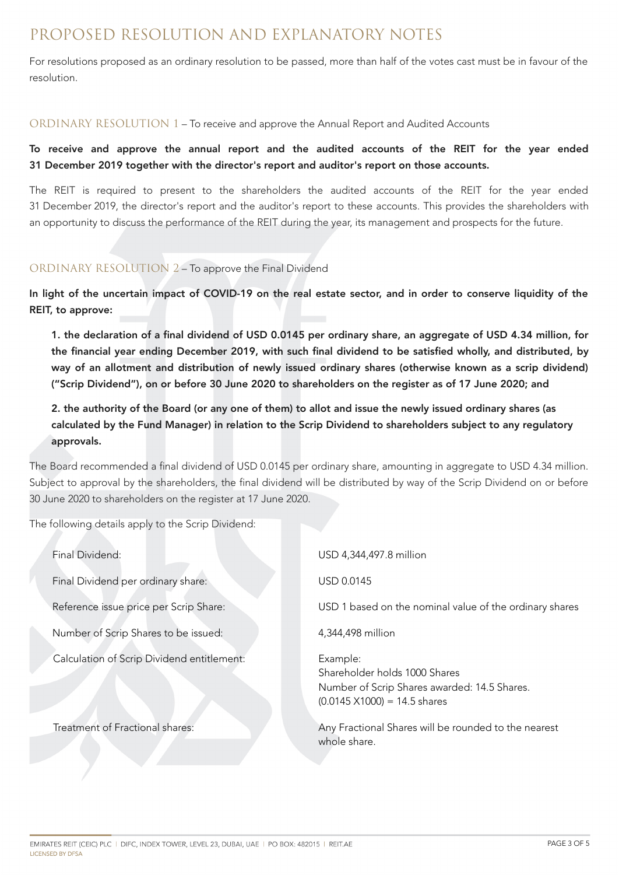## PROPOSED RESOLUTION AND EXPLANATORY NOTES

For resolutions proposed as an ordinary resolution to be passed, more than half of the votes cast must be in favour of the resolution.

#### ORDINARY RESOLUTION 1 – To receive and approve the Annual Report and Audited Accounts

To receive and approve the annual report and the audited accounts of the REIT for the year ended 31 December 2019 together with the director's report and auditor's report on those accounts.

The REIT is required to present to the shareholders the audited accounts of the REIT for the year ended 31 December 2019, the director's report and the auditor's report to these accounts. This provides the shareholders with an opportunity to discuss the performance of the REIT during the year, its management and prospects for the future.

#### ORDINARY RESOLUTION 2 – To approve the Final Dividend

In light of the uncertain impact of COVID-19 on the real estate sector, and in order to conserve liquidity of the REIT, to approve:

1. the declaration of a final dividend of USD 0.0145 per ordinary share, an aggregate of USD 4.34 million, for the financial year ending December 2019, with such final dividend to be satisfied wholly, and distributed, by way of an allotment and distribution of newly issued ordinary shares (otherwise known as a scrip dividend) ("Scrip Dividend"), on or before 30 June 2020 to shareholders on the register as of 17 June 2020; and

#### 2. the authority of the Board (or any one of them) to allot and issue the newly issued ordinary shares (as calculated by the Fund Manager) in relation to the Scrip Dividend to shareholders subject to any regulatory approvals.

The Board recommended a final dividend of USD 0.0145 per ordinary share, amounting in aggregate to USD 4.34 million. Subject to approval by the shareholders, the final dividend will be distributed by way of the Scrip Dividend on or before 30 June 2020 to shareholders on the register at 17 June 2020.

The following details apply to the Scrip Dividend:

| Final Dividend:                            | USD 4,344,497.8 million                                                                                                           |
|--------------------------------------------|-----------------------------------------------------------------------------------------------------------------------------------|
| Final Dividend per ordinary share:         | USD 0.0145                                                                                                                        |
| Reference issue price per Scrip Share:     | USD 1 based on the nominal value of the ordinary shares                                                                           |
| Number of Scrip Shares to be issued:       | 4,344,498 million                                                                                                                 |
| Calculation of Scrip Dividend entitlement: | Example:<br>Shareholder holds 1000 Shares<br>Number of Scrip Shares awarded: 14.5 Shares.<br>$(0.0145 \times 1000) = 14.5$ shares |
| Treatment of Fractional shares:            | Any Fractional Shares will be rounded to the nearest<br>whole share.                                                              |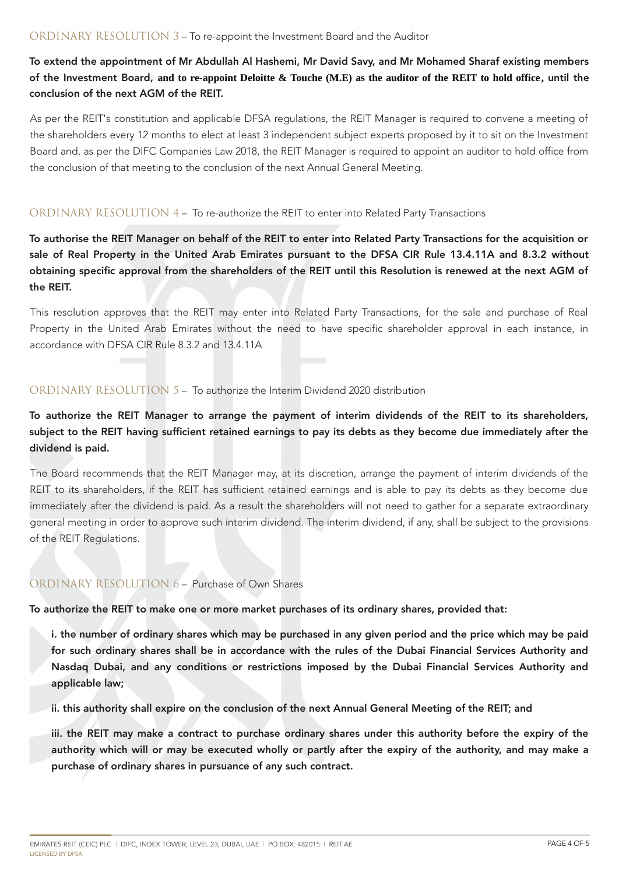To extend the appointment of Mr Abdullah Al Hashemi, Mr David Savy, and Mr Mohamed Sharaf existing members of the Investment Board, **and to re-appoint Deloitte & Touche (M.E) as the auditor of the REIT to hold office,** until the conclusion of the next AGM of the REIT.

As per the REIT's constitution and applicable DFSA regulations, the REIT Manager is required to convene a meeting of the shareholders every 12 months to elect at least 3 independent subject experts proposed by it to sit on the Investment Board and, as per the DIFC Companies Law 2018, the REIT Manager is required to appoint an auditor to hold office from the conclusion of that meeting to the conclusion of the next Annual General Meeting.

#### ORDINARY RESOLUTION 4 – To re-authorize the REIT to enter into Related Party Transactions

To authorise the REIT Manager on behalf of the REIT to enter into Related Party Transactions for the acquisition or sale of Real Property in the United Arab Emirates pursuant to the DFSA CIR Rule 13.4.11A and 8.3.2 without obtaining specific approval from the shareholders of the REIT until this Resolution is renewed at the next AGM of the REIT.

This resolution approves that the REIT may enter into Related Party Transactions, for the sale and purchase of Real Property in the United Arab Emirates without the need to have specific shareholder approval in each instance, in accordance with DFSA CIR Rule 8.3.2 and 13.4.11A

#### ORDINARY RESOLUTION 5 – To authorize the Interim Dividend 2020 distribution

To authorize the REIT Manager to arrange the payment of interim dividends of the REIT to its shareholders, subject to the REIT having sufficient retained earnings to pay its debts as they become due immediately after the dividend is paid.

The Board recommends that the REIT Manager may, at its discretion, arrange the payment of interim dividends of the REIT to its shareholders, if the REIT has sufficient retained earnings and is able to pay its debts as they become due immediately after the dividend is paid. As a result the shareholders will not need to gather for a separate extraordinary general meeting in order to approve such interim dividend. The interim dividend, if any, shall be subject to the provisions of the REIT Regulations.

#### ORDINARY RESOLUTION 6 – Purchase of Own Shares

To authorize the REIT to make one or more market purchases of its ordinary shares, provided that:

i. the number of ordinary shares which may be purchased in any given period and the price which may be paid for such ordinary shares shall be in accordance with the rules of the Dubai Financial Services Authority and Nasdaq Dubai, and any conditions or restrictions imposed by the Dubai Financial Services Authority and applicable law;

ii. this authority shall expire on the conclusion of the next Annual General Meeting of the REIT; and

iii. the REIT may make a contract to purchase ordinary shares under this authority before the expiry of the authority which will or may be executed wholly or partly after the expiry of the authority, and may make a purchase of ordinary shares in pursuance of any such contract.